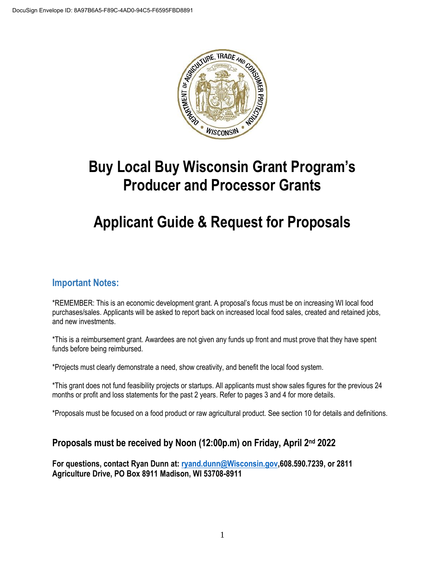

# **Buy Local Buy Wisconsin Grant Program's Producer and Processor Grants**

## **Applicant Guide & Request for Proposals**

### **Important Notes:**

\*REMEMBER: This is an economic development grant. A proposal's focus must be on increasing WI local food purchases/sales. Applicants will be asked to report back on increased local food sales, created and retained jobs, and new investments.

\*This is a reimbursement grant. Awardees are not given any funds up front and must prove that they have spent funds before being reimbursed.

\*Projects must clearly demonstrate a need, show creativity, and benefit the local food system.

\*This grant does not fund feasibility projects or startups. All applicants must show sales figures for the previous 24 months or profit and loss statements for the past 2 years. Refer to pages 3 and 4 for more details.

\*Proposals must be focused on a food product or raw agricultural product. See section 10 for details and definitions.

## **Proposals must be received by Noon (12:00p.m) on Friday, April 2nd 2022**

**For questions, contact Ryan Dunn at[: ryand.dunn@Wisconsin.gov,](mailto:ryand.dunn@Wisconsin.gov)608.590.7239, or 2811 Agriculture Drive, PO Box 8911 Madison, WI 53708-8911**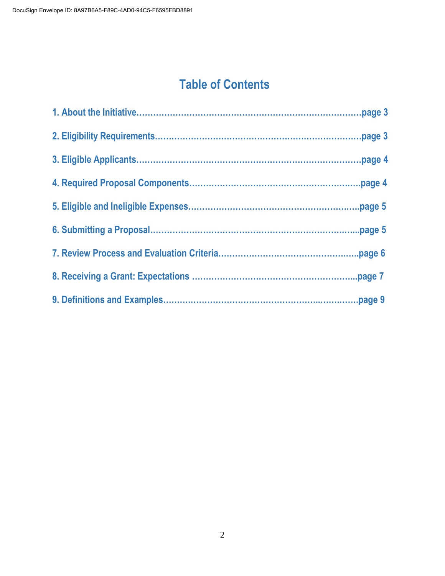## **Table of Contents**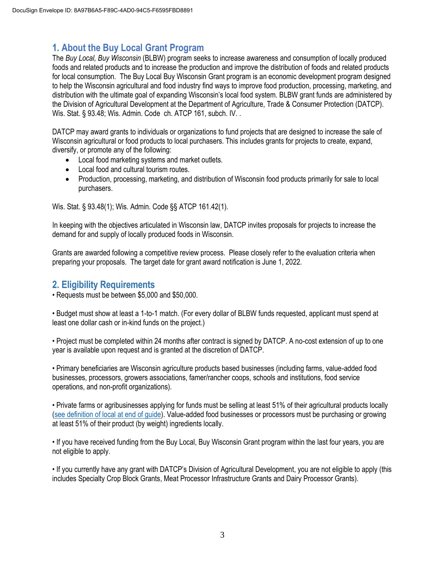## **1. About the Buy Local Grant Program**

The *Buy Local, Buy Wisconsin* (BLBW) program seeks to increase awareness and consumption of locally produced foods and related products and to increase the production and improve the distribution of foods and related products for local consumption. The Buy Local Buy Wisconsin Grant program is an economic development program designed to help the Wisconsin agricultural and food industry find ways to improve food production, processing, marketing, and distribution with the ultimate goal of expanding Wisconsin's local food system. BLBW grant funds are administered by the Division of Agricultural Development at the Department of Agriculture, Trade & Consumer Protection (DATCP). Wis. Stat. § 93.48; Wis. Admin. Code ch. ATCP 161, subch. IV. .

DATCP may award grants to individuals or organizations to fund projects that are designed to increase the sale of Wisconsin agricultural or food products to local purchasers. This includes grants for projects to create, expand, diversify, or promote any of the following:

- Local food marketing systems and market outlets.
- Local food and cultural tourism routes.
- Production, processing, marketing, and distribution of Wisconsin food products primarily for sale to local purchasers.

Wis. Stat. § 93.48(1); Wis. Admin. Code §§ ATCP 161.42(1).

In keeping with the objectives articulated in Wisconsin law, DATCP invites proposals for projects to increase the demand for and supply of locally produced foods in Wisconsin.

Grants are awarded following a competitive review process. Please closely refer to the evaluation criteria when preparing your proposals. The target date for grant award notification is June 1, 2022.

## **2. Eligibility Requirements**

• Requests must be between \$5,000 and \$50,000.

• Budget must show at least a 1-to-1 match. (For every dollar of BLBW funds requested, applicant must spend at least one dollar cash or in-kind funds on the project.)

• Project must be completed within 24 months after contract is signed by DATCP. A no-cost extension of up to one year is available upon request and is granted at the discretion of DATCP.

• Primary beneficiaries are Wisconsin agriculture products based businesses (including farms, value-added food businesses, processors, growers associations, famer/rancher coops, schools and institutions, food service operations, and non-profit organizations).

• Private farms or agribusinesses applying for funds must be selling at least 51% of their agricultural products locally [\(see definition of local at end of guide\)](#page--1-0). Value-added food businesses or processors must be purchasing or growing at least 51% of their product (by weight) ingredients locally.

• If you have received funding from the Buy Local, Buy Wisconsin Grant program within the last four years, you are not eligible to apply.

• If you currently have any grant with DATCP's Division of Agricultural Development, you are not eligible to apply (this includes Specialty Crop Block Grants, Meat Processor Infrastructure Grants and Dairy Processor Grants).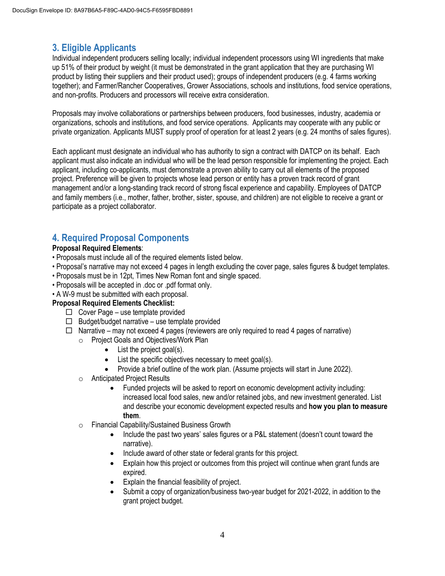## **3. Eligible Applicants**

Individual independent producers selling locally; individual independent processors using WI ingredients that make up 51% of their product by weight (it must be demonstrated in the grant application that they are purchasing WI product by listing their suppliers and their product used); groups of independent producers (e.g. 4 farms working together); and Farmer/Rancher Cooperatives, Grower Associations, schools and institutions, food service operations, and non-profits. Producers and processors will receive extra consideration.

Proposals may involve collaborations or partnerships between producers, food businesses, industry, academia or organizations, schools and institutions, and food service operations. Applicants may cooperate with any public or private organization. Applicants MUST supply proof of operation for at least 2 years (e.g. 24 months of sales figures).

Each applicant must designate an individual who has authority to sign a contract with DATCP on its behalf. Each applicant must also indicate an individual who will be the lead person responsible for implementing the project. Each applicant, including co-applicants, must demonstrate a proven ability to carry out all elements of the proposed project. Preference will be given to projects whose lead person or entity has a proven track record of grant management and/or a long-standing track record of strong fiscal experience and capability. Employees of DATCP and family members (i.e., mother, father, brother, sister, spouse, and children) are not eligible to receive a grant or participate as a project collaborator.

## **4. Required Proposal Components**

#### **Proposal Required Elements**:

- Proposals must include all of the required elements listed below.
- Proposal's narrative may not exceed 4 pages in length excluding the cover page, sales figures & budget templates.
- Proposals must be in 12pt, Times New Roman font and single spaced.
- Proposals will be accepted in .doc or .pdf format only.
- A W-9 must be submitted with each proposal.

#### **Proposal Required Elements Checklist:**

- $\Box$  Cover Page use template provided
- $\Box$  Budget/budget narrative use template provided
- $\Box$  Narrative may not exceed 4 pages (reviewers are only required to read 4 pages of narrative)
	- o Project Goals and Objectives/Work Plan
		- List the project goal(s).
		- List the specific objectives necessary to meet goal(s).
		- Provide a brief outline of the work plan. (Assume projects will start in June 2022).
	- o Anticipated Project Results
		- Funded projects will be asked to report on economic development activity including: increased local food sales, new and/or retained jobs, and new investment generated. List and describe your economic development expected results and **how you plan to measure them**.
	- o Financial Capability/Sustained Business Growth
		- Include the past two years' sales figures or a P&L statement (doesn't count toward the narrative).
		- Include award of other state or federal grants for this project.
		- Explain how this project or outcomes from this project will continue when grant funds are expired.
		- Explain the financial feasibility of project.
		- Submit a copy of organization/business two-year budget for 2021-2022, in addition to the grant project budget.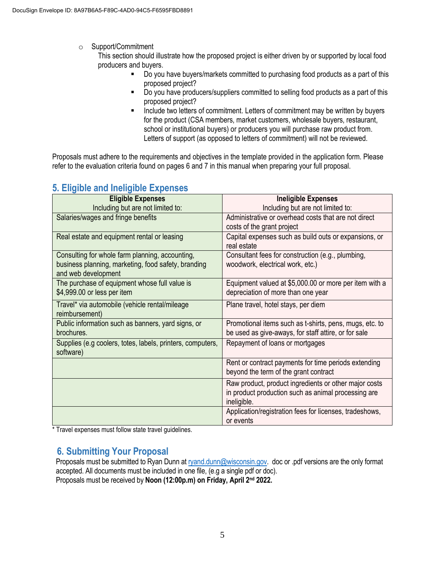o Support/Commitment

This section should illustrate how the proposed project is either driven by or supported by local food producers and buyers.

- Do you have buyers/markets committed to purchasing food products as a part of this proposed project?
- Do you have producers/suppliers committed to selling food products as a part of this proposed project?
- Include two letters of commitment. Letters of commitment may be written by buyers for the product (CSA members, market customers, wholesale buyers, restaurant, school or institutional buyers) or producers you will purchase raw product from. Letters of support (as opposed to letters of commitment) will not be reviewed.

Proposals must adhere to the requirements and objectives in the template provided in the application form. Please refer to the evaluation criteria found on pages 6 and 7 in this manual when preparing your full proposal.

| $mg$ and $m = mg$ and $m = mg$                             |                                                         |
|------------------------------------------------------------|---------------------------------------------------------|
| <b>Eligible Expenses</b>                                   | <b>Ineligible Expenses</b>                              |
| Including but are not limited to:                          | Including but are not limited to:                       |
| Salaries/wages and fringe benefits                         | Administrative or overhead costs that are not direct    |
|                                                            | costs of the grant project                              |
|                                                            |                                                         |
| Real estate and equipment rental or leasing                | Capital expenses such as build outs or expansions, or   |
|                                                            | real estate                                             |
| Consulting for whole farm planning, accounting,            | Consultant fees for construction (e.g., plumbing,       |
| business planning, marketing, food safety, branding        | woodwork, electrical work, etc.)                        |
| and web development                                        |                                                         |
| The purchase of equipment whose full value is              | Equipment valued at \$5,000.00 or more per item with a  |
|                                                            |                                                         |
| \$4,999.00 or less per item                                | depreciation of more than one year                      |
| Travel* via automobile (vehicle rental/mileage             | Plane travel, hotel stays, per diem                     |
| reimbursement)                                             |                                                         |
| Public information such as banners, yard signs, or         | Promotional items such as t-shirts, pens, mugs, etc. to |
|                                                            |                                                         |
| brochures.                                                 | be used as give-aways, for staff attire, or for sale    |
| Supplies (e.g coolers, totes, labels, printers, computers, | Repayment of loans or mortgages                         |
| software)                                                  |                                                         |
|                                                            | Rent or contract payments for time periods extending    |
|                                                            |                                                         |
|                                                            | beyond the term of the grant contract                   |
|                                                            | Raw product, product ingredients or other major costs   |
|                                                            | in product production such as animal processing are     |
|                                                            | ineligible.                                             |
|                                                            |                                                         |
|                                                            | Application/registration fees for licenses, tradeshows, |
|                                                            | or events                                               |

## **5. Eligible and Ineligible Expenses**

\* Travel expenses must follow state travel guidelines.

## **6. Submitting Your Proposal**

Proposals must be submitted to Ryan Dunn at [ryand.dunn@wisconsin.gov.](mailto:ryand.dunn@wisconsin.gov) doc or .pdf versions are the only format accepted. All documents must be included in one file, (e.g a single pdf or doc). Proposals must be received by **Noon (12:00p.m) on Friday, April 2nd 2022.**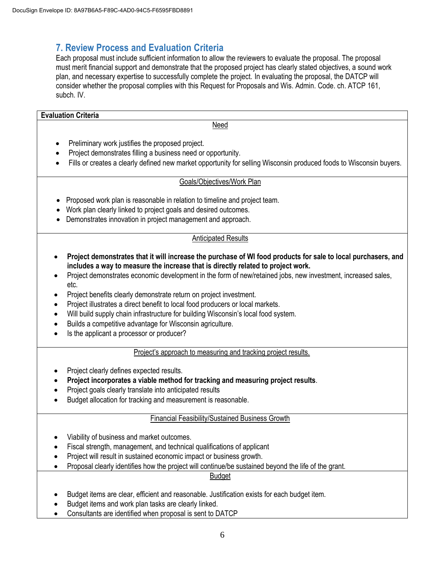## **7. Review Process and Evaluation Criteria**

Each proposal must include sufficient information to allow the reviewers to evaluate the proposal. The proposal must merit financial support and demonstrate that the proposed project has clearly stated objectives, a sound work plan, and necessary expertise to successfully complete the project. In evaluating the proposal, the DATCP will consider whether the proposal complies with this Request for Proposals and Wis. Admin. Code. ch. ATCP 161, subch. IV.

#### **Evaluation Criteria**

Need

- Preliminary work justifies the proposed project.
- Project demonstrates filling a business need or opportunity.
- Fills or creates a clearly defined new market opportunity for selling Wisconsin produced foods to Wisconsin buyers.

#### Goals/Objectives/Work Plan

- Proposed work plan is reasonable in relation to timeline and project team.
- Work plan clearly linked to project goals and desired outcomes.
- Demonstrates innovation in project management and approach.

#### Anticipated Results

- **Project demonstrates that it will increase the purchase of WI food products for sale to local purchasers, and includes a way to measure the increase that is directly related to project work.**
- Project demonstrates economic development in the form of new/retained jobs, new investment, increased sales, etc.
- Project benefits clearly demonstrate return on project investment.
- Project illustrates a direct benefit to local food producers or local markets.
- Will build supply chain infrastructure for building Wisconsin's local food system.
- Builds a competitive advantage for Wisconsin agriculture.
- Is the applicant a processor or producer?

#### Project's approach to measuring and tracking project results.

- Project clearly defines expected results.
- **Project incorporates a viable method for tracking and measuring project results**.
- Project goals clearly translate into anticipated results
- Budget allocation for tracking and measurement is reasonable.

#### Financial Feasibility/Sustained Business Growth

- Viability of business and market outcomes.
- Fiscal strength, management, and technical qualifications of applicant
- Project will result in sustained economic impact or business growth.
- Proposal clearly identifies how the project will continue/be sustained beyond the life of the grant.

#### Budget

- Budget items are clear, efficient and reasonable. Justification exists for each budget item.
- Budget items and work plan tasks are clearly linked.
- Consultants are identified when proposal is sent to DATCP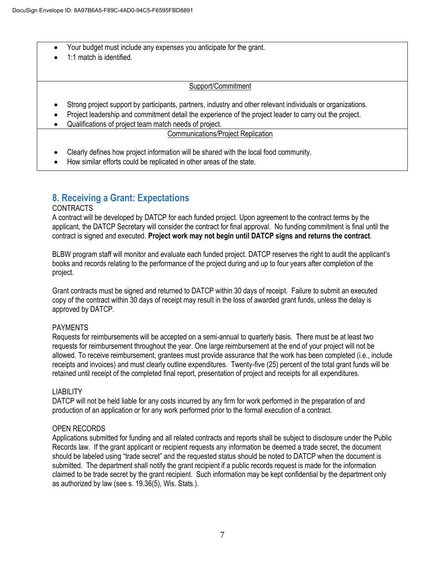- Your budget must include any expenses you anticipate for the grant.
- 1:1 match is identified.

#### Support/Commitment

- Strong project support by participants, partners, industry and other relevant individuals or organizations.
- Project leadership and commitment detail the experience of the project leader to carry out the project.
- Qualifications of project team match needs of project.

#### Communications/Project Replication

- Clearly defines how project information will be shared with the local food community.
- How similar efforts could be replicated in other areas of the state.

## **8. Receiving a Grant: Expectations**

#### CONTRACTS

A contract will be developed by DATCP for each funded project. Upon agreement to the contract terms by the applicant, the DATCP Secretary will consider the contract for final approval. No funding commitment is final until the contract is signed and executed. **Project work may not begin until DATCP signs and returns the contract**.

BLBW program staff will monitor and evaluate each funded project. DATCP reserves the right to audit the applicant's books and records relating to the performance of the project during and up to four years after completion of the project.

Grant contracts must be signed and returned to DATCP within 30 days of receipt. Failure to submit an executed copy of the contract within 30 days of receipt may result in the loss of awarded grant funds, unless the delay is approved by DATCP.

#### PAYMENTS

Requests for reimbursements will be accepted on a semi-annual to quarterly basis. There must be at least two requests for reimbursement throughout the year. One large reimbursement at the end of your project will not be allowed. To receive reimbursement, grantees must provide assurance that the work has been completed (i.e., include receipts and invoices) and must clearly outline expenditures. Twenty-five (25) percent of the total grant funds will be retained until receipt of the completed final report, presentation of project and receipts for all expenditures.

#### LIABILITY

DATCP will not be held liable for any costs incurred by any firm for work performed in the preparation of and production of an application or for any work performed prior to the formal execution of a contract.

#### OPEN RECORDS

Applications submitted for funding and all related contracts and reports shall be subject to disclosure under the Public Records law. If the grant applicant or recipient requests any information be deemed a trade secret, the document should be labeled using "trade secret" and the requested status should be noted to DATCP when the document is submitted. The department shall notify the grant recipient if a public records request is made for the information claimed to be trade secret by the grant recipient. Such information may be kept confidential by the department only as authorized by law (see s. 19.36(5), Wis. Stats.).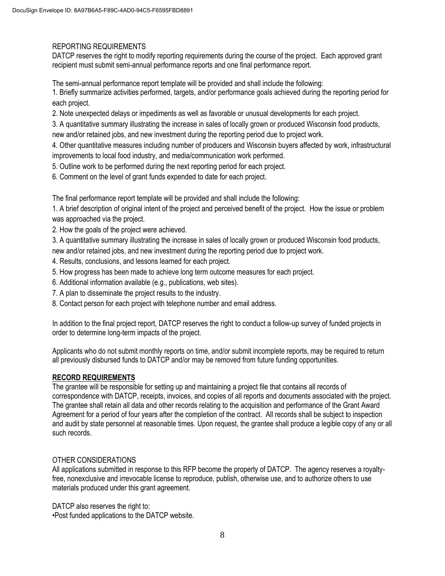#### REPORTING REQUIREMENTS

DATCP reserves the right to modify reporting requirements during the course of the project. Each approved grant recipient must submit semi-annual performance reports and one final performance report.

The semi-annual performance report template will be provided and shall include the following:

1. Briefly summarize activities performed, targets, and/or performance goals achieved during the reporting period for each project.

2. Note unexpected delays or impediments as well as favorable or unusual developments for each project.

3. A quantitative summary illustrating the increase in sales of locally grown or produced Wisconsin food products, new and/or retained jobs, and new investment during the reporting period due to project work.

4. Other quantitative measures including number of producers and Wisconsin buyers affected by work, infrastructural improvements to local food industry, and media/communication work performed.

- 5. Outline work to be performed during the next reporting period for each project.
- 6. Comment on the level of grant funds expended to date for each project.

The final performance report template will be provided and shall include the following:

1. A brief description of original intent of the project and perceived benefit of the project. How the issue or problem was approached via the project.

2. How the goals of the project were achieved.

3. A quantitative summary illustrating the increase in sales of locally grown or produced Wisconsin food products,

new and/or retained jobs, and new investment during the reporting period due to project work.

- 4. Results, conclusions, and lessons learned for each project.
- 5. How progress has been made to achieve long term outcome measures for each project.
- 6. Additional information available (e.g., publications, web sites).
- 7. A plan to disseminate the project results to the industry.
- 8. Contact person for each project with telephone number and email address.

In addition to the final project report, DATCP reserves the right to conduct a follow-up survey of funded projects in order to determine long-term impacts of the project.

Applicants who do not submit monthly reports on time, and/or submit incomplete reports, may be required to return all previously disbursed funds to DATCP and/or may be removed from future funding opportunities.

#### **RECORD REQUIREMENTS**

The grantee will be responsible for setting up and maintaining a project file that contains all records of correspondence with DATCP, receipts, invoices, and copies of all reports and documents associated with the project. The grantee shall retain all data and other records relating to the acquisition and performance of the Grant Award Agreement for a period of four years after the completion of the contract. All records shall be subject to inspection and audit by state personnel at reasonable times. Upon request, the grantee shall produce a legible copy of any or all such records.

#### OTHER CONSIDERATIONS

All applications submitted in response to this RFP become the property of DATCP. The agency reserves a royaltyfree, nonexclusive and irrevocable license to reproduce, publish, otherwise use, and to authorize others to use materials produced under this grant agreement.

DATCP also reserves the right to:

•Post funded applications to the DATCP website.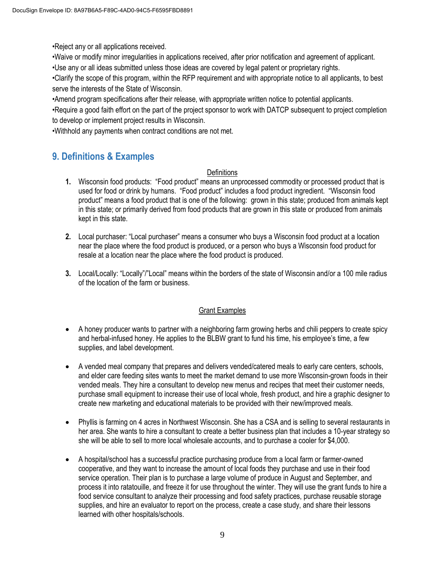•Reject any or all applications received.

•Waive or modify minor irregularities in applications received, after prior notification and agreement of applicant. •Use any or all ideas submitted unless those ideas are covered by legal patent or proprietary rights.

•Clarify the scope of this program, within the RFP requirement and with appropriate notice to all applicants, to best serve the interests of the State of Wisconsin.

•Amend program specifications after their release, with appropriate written notice to potential applicants.

•Require a good faith effort on the part of the project sponsor to work with DATCP subsequent to project completion to develop or implement project results in Wisconsin.

•Withhold any payments when contract conditions are not met.

## **9. Definitions & Examples**

#### **Definitions**

- **1.** Wisconsin food products: "Food product" means an unprocessed commodity or processed product that is used for food or drink by humans. "Food product" includes a food product ingredient. "Wisconsin food product" means a food product that is one of the following: grown in this state; produced from animals kept in this state; or primarily derived from food products that are grown in this state or produced from animals kept in this state.
- **2.** Local purchaser: "Local purchaser" means a consumer who buys a Wisconsin food product at a location near the place where the food product is produced, or a person who buys a Wisconsin food product for resale at a location near the place where the food product is produced.
- **3.** Local/Locally: "Locally"/"Local" means within the borders of the state of Wisconsin and/or a 100 mile radius of the location of the farm or business.

#### Grant Examples

- A honey producer wants to partner with a neighboring farm growing herbs and chili peppers to create spicy and herbal-infused honey. He applies to the BLBW grant to fund his time, his employee's time, a few supplies, and label development.
- A vended meal company that prepares and delivers vended/catered meals to early care centers, schools, and elder care feeding sites wants to meet the market demand to use more Wisconsin-grown foods in their vended meals. They hire a consultant to develop new menus and recipes that meet their customer needs, purchase small equipment to increase their use of local whole, fresh product, and hire a graphic designer to create new marketing and educational materials to be provided with their new/improved meals.
- Phyllis is farming on 4 acres in Northwest Wisconsin. She has a CSA and is selling to several restaurants in her area. She wants to hire a consultant to create a better business plan that includes a 10-year strategy so she will be able to sell to more local wholesale accounts, and to purchase a cooler for \$4,000.
- A hospital/school has a successful practice purchasing produce from a local farm or farmer-owned cooperative, and they want to increase the amount of local foods they purchase and use in their food service operation. Their plan is to purchase a large volume of produce in August and September, and process it into ratatouille, and freeze it for use throughout the winter. They will use the grant funds to hire a food service consultant to analyze their processing and food safety practices, purchase reusable storage supplies, and hire an evaluator to report on the process, create a case study, and share their lessons learned with other hospitals/schools.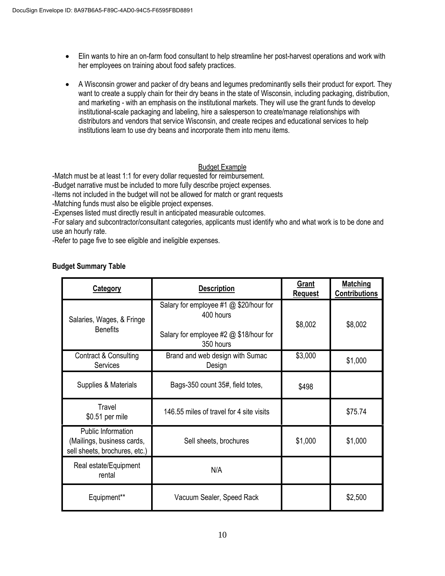- Elin wants to hire an on-farm food consultant to help streamline her post-harvest operations and work with her employees on training about food safety practices.
- A Wisconsin grower and packer of dry beans and legumes predominantly sells their product for export. They want to create a supply chain for their dry beans in the state of Wisconsin, including packaging, distribution, and marketing - with an emphasis on the institutional markets. They will use the grant funds to develop institutional-scale packaging and labeling, hire a salesperson to create/manage relationships with distributors and vendors that service Wisconsin, and create recipes and educational services to help institutions learn to use dry beans and incorporate them into menu items.

#### Budget Example

-Match must be at least 1:1 for every dollar requested for reimbursement.

-Budget narrative must be included to more fully describe project expenses.

-Items not included in the budget will not be allowed for match or grant requests

-Matching funds must also be eligible project expenses.

-Expenses listed must directly result in anticipated measurable outcomes.

-For salary and subcontractor/consultant categories, applicants must identify who and what work is to be done and use an hourly rate.

-Refer to page five to see eligible and ineligible expenses.

#### **Budget Summary Table**

| <b>Category</b>                                                                   | <b>Description</b>                                                                                         | Grant<br><b>Request</b> | <b>Matching</b><br><b>Contributions</b> |
|-----------------------------------------------------------------------------------|------------------------------------------------------------------------------------------------------------|-------------------------|-----------------------------------------|
| Salaries, Wages, & Fringe<br><b>Benefits</b>                                      | Salary for employee #1 @ \$20/hour for<br>400 hours<br>Salary for employee #2 @ \$18/hour for<br>350 hours | \$8,002                 | \$8,002                                 |
| Contract & Consulting<br>Services                                                 | Brand and web design with Sumac<br>Design                                                                  | \$3,000                 | \$1,000                                 |
| Supplies & Materials                                                              | Bags-350 count 35#, field totes,                                                                           | \$498                   |                                         |
| Travel<br>\$0.51 per mile                                                         | 146.55 miles of travel for 4 site visits                                                                   |                         | \$75.74                                 |
| Public Information<br>(Mailings, business cards,<br>sell sheets, brochures, etc.) | Sell sheets, brochures                                                                                     | \$1,000                 | \$1,000                                 |
| Real estate/Equipment<br>rental                                                   | N/A                                                                                                        |                         |                                         |
| Equipment**                                                                       | Vacuum Sealer, Speed Rack                                                                                  |                         | \$2,500                                 |